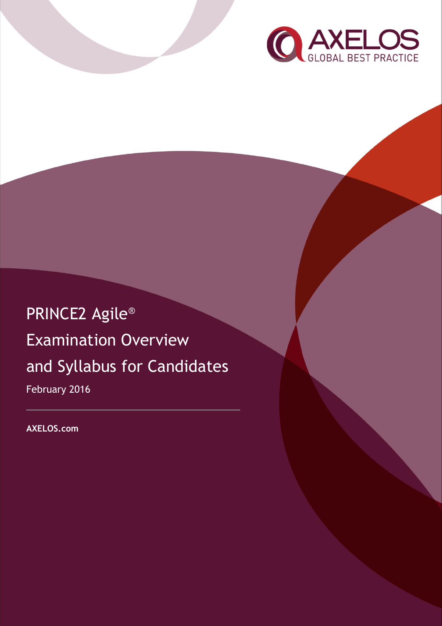

# PRINCE2 Agile® Examination Overview and Syllabus for Candidates February 2016

**AXELOS.com**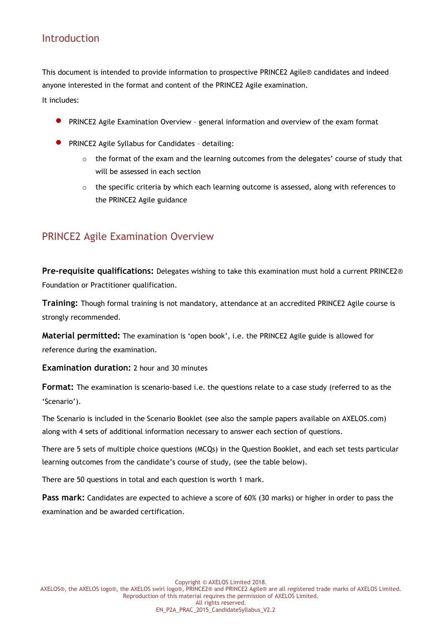## Introduction

This document is intended to provide information to prospective PRINCE2 Agile® candidates and indeed anyone interested in the format and content of the PRINCE2 Agile examination.

It includes:

- PRINCE2 Agile Examination Overview general information and overview of the exam format
- PRINCE2 Agile Syllabus for Candidates detailing:
	- $\circ$  the format of the exam and the learning outcomes from the delegates' course of study that will be assessed in each section
	- $\circ$  the specific criteria by which each learning outcome is assessed, along with references to the PRINCE2 Agile guidance

### PRINCE2 Agile Examination Overview

**Pre-requisite qualifications:** Delegates wishing to take this examination must hold a current PRINCE2® Foundation or Practitioner qualification.

**Training:** Though formal training is not mandatory, attendance at an accredited PRINCE2 Agile course is strongly recommended.

**Material permitted:** The examination is 'open book', i.e. the PRINCE2 Agile guide is allowed for reference during the examination.

**Examination duration:** 2 hour and 30 minutes

**Format:** The examination is scenario-based i.e. the questions relate to a case study (referred to as the 'Scenario').

The Scenario is included in the Scenario Booklet (see also the sample papers available on AXELOS.com) along with 4 sets of additional information necessary to answer each section of questions.

There are 5 sets of multiple choice questions (MCQs) in the Question Booklet, and each set tests particular learning outcomes from the candidate's course of study, (see the table below).

There are 50 questions in total and each question is worth 1 mark.

**Pass mark:** Candidates are expected to achieve a score of 60% (30 marks) or higher in order to pass the examination and be awarded certification.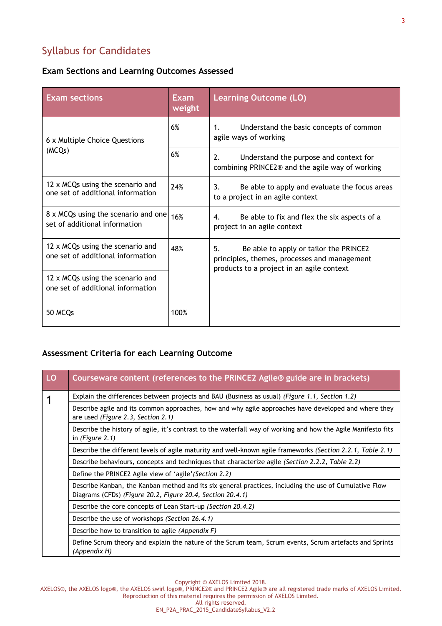# Syllabus for Candidates

#### **Exam Sections and Learning Outcomes Assessed**

| <b>Exam sections</b>                                                  | Exam<br>weight | <b>Learning Outcome (LO)</b>                                                                                                              |
|-----------------------------------------------------------------------|----------------|-------------------------------------------------------------------------------------------------------------------------------------------|
| 6 x Multiple Choice Questions<br>(MCQs)                               | 6%             | Understand the basic concepts of common<br>1.<br>agile ways of working                                                                    |
|                                                                       | 6%             | 2.<br>Understand the purpose and context for<br>combining PRINCE2 <sup>®</sup> and the agile way of working                               |
| 12 x MCQs using the scenario and<br>one set of additional information | 24%            | Be able to apply and evaluate the focus areas<br>3.<br>to a project in an agile context                                                   |
| 8 x MCQs using the scenario and one<br>set of additional information  | 16%            | Be able to fix and flex the six aspects of a<br>4.<br>project in an agile context                                                         |
| 12 x MCQs using the scenario and<br>one set of additional information | 48%            | 5.<br>Be able to apply or tailor the PRINCE2<br>principles, themes, processes and management<br>products to a project in an agile context |
| 12 x MCQs using the scenario and<br>one set of additional information |                |                                                                                                                                           |
| 50 MCQs                                                               | 100%           |                                                                                                                                           |

#### **Assessment Criteria for each Learning Outcome**

| LO | Courseware content (references to the PRINCE2 Agile® guide are in brackets)                                                                                          |
|----|----------------------------------------------------------------------------------------------------------------------------------------------------------------------|
|    | Explain the differences between projects and BAU (Business as usual) (Figure 1.1, Section 1.2)                                                                       |
|    | Describe agile and its common approaches, how and why agile approaches have developed and where they<br>are used (Figure 2.3, Section 2.1)                           |
|    | Describe the history of agile, it's contrast to the waterfall way of working and how the Agile Manifesto fits<br>in (Figure $2.1$ )                                  |
|    | Describe the different levels of agile maturity and well-known agile frameworks (Section 2.2.1, Table 2.1)                                                           |
|    | Describe behaviours, concepts and techniques that characterize agile (Section 2.2.2, Table 2.2)                                                                      |
|    | Define the PRINCE2 Agile view of 'agile' (Section 2.2)                                                                                                               |
|    | Describe Kanban, the Kanban method and its six general practices, including the use of Cumulative Flow<br>Diagrams (CFDs) (Figure 20.2, Figure 20.4, Section 20.4.1) |
|    | Describe the core concepts of Lean Start-up (Section 20.4.2)                                                                                                         |
|    | Describe the use of workshops (Section 26.4.1)                                                                                                                       |
|    | Describe how to transition to agile (Appendix F)                                                                                                                     |
|    | Define Scrum theory and explain the nature of the Scrum team, Scrum events, Scrum artefacts and Sprints<br>(Appendix H)                                              |

Copyright © AXELOS Limited 2018.

AXELOS®, the AXELOS logo®, the AXELOS swirl logo®, PRINCE2® and PRINCE2 Agile® are all registered trade marks of AXELOS Limited. Reproduction of this material requires the permission of AXELOS Limited.

All rights reserved. EN\_P2A\_PRAC\_2015\_CandidateSyllabus\_V2.2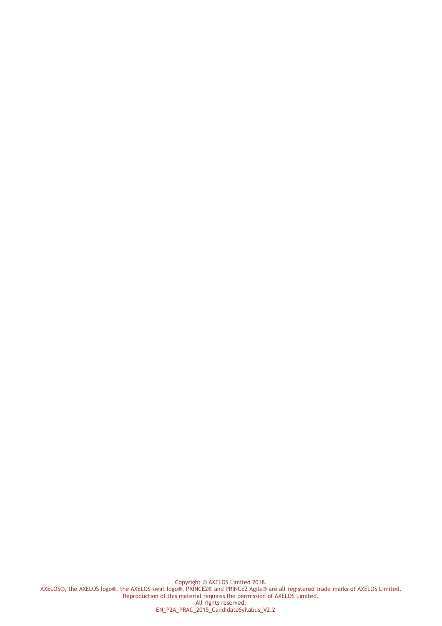Copyright © AXELOS Limited 2018. AXELOS®, the AXELOS logo®, the AXELOS swirl logo®, PRINCE2® and PRINCE2 Agile® are all registered trade marks of AXELOS Limited. Reproduction of this material requires the permission of AXELOS Limited. All rights reserved. EN\_P2A\_PRAC\_2015\_CandidateSyllabus\_V2.2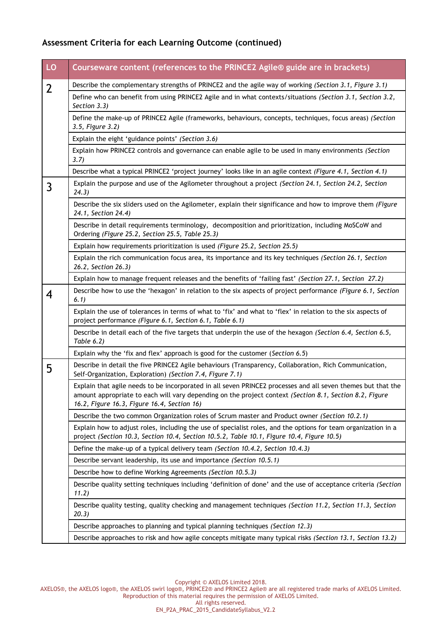#### **Assessment Criteria for each Learning Outcome (continued)**

| LO             | Courseware content (references to the PRINCE2 Agile® guide are in brackets)                                                                                                                                                                                            |
|----------------|------------------------------------------------------------------------------------------------------------------------------------------------------------------------------------------------------------------------------------------------------------------------|
| $\overline{2}$ | Describe the complementary strengths of PRINCE2 and the agile way of working (Section 3.1, Figure 3.1)                                                                                                                                                                 |
|                | Define who can benefit from using PRINCE2 Agile and in what contexts/situations (Section 3.1, Section 3.2,<br>Section 3.3)                                                                                                                                             |
|                | Define the make-up of PRINCE2 Agile (frameworks, behaviours, concepts, techniques, focus areas) (Section<br>3.5, Figure 3.2)                                                                                                                                           |
|                | Explain the eight 'guidance points' (Section 3.6)                                                                                                                                                                                                                      |
|                | Explain how PRINCE2 controls and governance can enable agile to be used in many environments (Section<br>3.7)                                                                                                                                                          |
|                | Describe what a typical PRINCE2 'project journey' looks like in an agile context (Figure 4.1, Section 4.1)                                                                                                                                                             |
| 3              | Explain the purpose and use of the Agilometer throughout a project (Section 24.1, Section 24.2, Section<br>24.3)                                                                                                                                                       |
|                | Describe the six sliders used on the Agilometer, explain their significance and how to improve them (Figure<br>24.1, Section 24.4)                                                                                                                                     |
|                | Describe in detail requirements terminology, decomposition and prioritization, including MoSCoW and<br>Ordering (Figure 25.2, Section 25.5, Table 25.3)                                                                                                                |
|                | Explain how requirements prioritization is used (Figure 25.2, Section 25.5)                                                                                                                                                                                            |
|                | Explain the rich communication focus area, its importance and its key techniques (Section 26.1, Section<br>26.2, Section 26.3)                                                                                                                                         |
|                | Explain how to manage frequent releases and the benefits of 'failing fast' (Section 27.1, Section 27.2)                                                                                                                                                                |
| 4              | Describe how to use the 'hexagon' in relation to the six aspects of project performance (Figure 6.1, Section<br>6.1)                                                                                                                                                   |
|                | Explain the use of tolerances in terms of what to 'fix' and what to 'flex' in relation to the six aspects of<br>project performance (Figure 6.1, Section 6.1, Table 6.1)                                                                                               |
|                | Describe in detail each of the five targets that underpin the use of the hexagon (Section 6.4, Section 6.5,<br>Table 6.2)                                                                                                                                              |
|                | Explain why the 'fix and flex' approach is good for the customer (Section 6.5)                                                                                                                                                                                         |
| 5              | Describe in detail the five PRINCE2 Agile behaviours (Transparency, Collaboration, Rich Communication,<br>Self-Organization, Exploration) (Section 7.4, Figure 7.1)                                                                                                    |
|                | Explain that agile needs to be incorporated in all seven PRINCE2 processes and all seven themes but that the<br>amount appropriate to each will vary depending on the project context (Section 8.1, Section 8.2, Figure<br>16.2, Figure 16.3, Figure 16.4, Section 16) |
|                | Describe the two common Organization roles of Scrum master and Product owner (Section 10.2.1)                                                                                                                                                                          |
|                | Explain how to adjust roles, including the use of specialist roles, and the options for team organization in a<br>project (Section 10.3, Section 10.4, Section 10.5.2, Table 10.1, Figure 10.4, Figure 10.5)                                                           |
|                | Define the make-up of a typical delivery team (Section 10.4.2, Section 10.4.3)                                                                                                                                                                                         |
|                | Describe servant leadership, its use and importance (Section 10.5.1)                                                                                                                                                                                                   |
|                | Describe how to define Working Agreements (Section 10.5.3)                                                                                                                                                                                                             |
|                | Describe quality setting techniques including 'definition of done' and the use of acceptance criteria (Section<br>11.2)                                                                                                                                                |
|                | Describe quality testing, quality checking and management techniques (Section 11.2, Section 11.3, Section<br>20.3)                                                                                                                                                     |
|                | Describe approaches to planning and typical planning techniques (Section 12.3)                                                                                                                                                                                         |
|                | Describe approaches to risk and how agile concepts mitigate many typical risks (Section 13.1, Section 13.2)                                                                                                                                                            |

Copyright © AXELOS Limited 2018.

AXELOS®, the AXELOS logo®, the AXELOS swirl logo®, PRINCE2® and PRINCE2 Agile® are all registered trade marks of AXELOS Limited. Reproduction of this material requires the permission of AXELOS Limited.

All rights reserved. EN\_P2A\_PRAC\_2015\_CandidateSyllabus\_V2.2